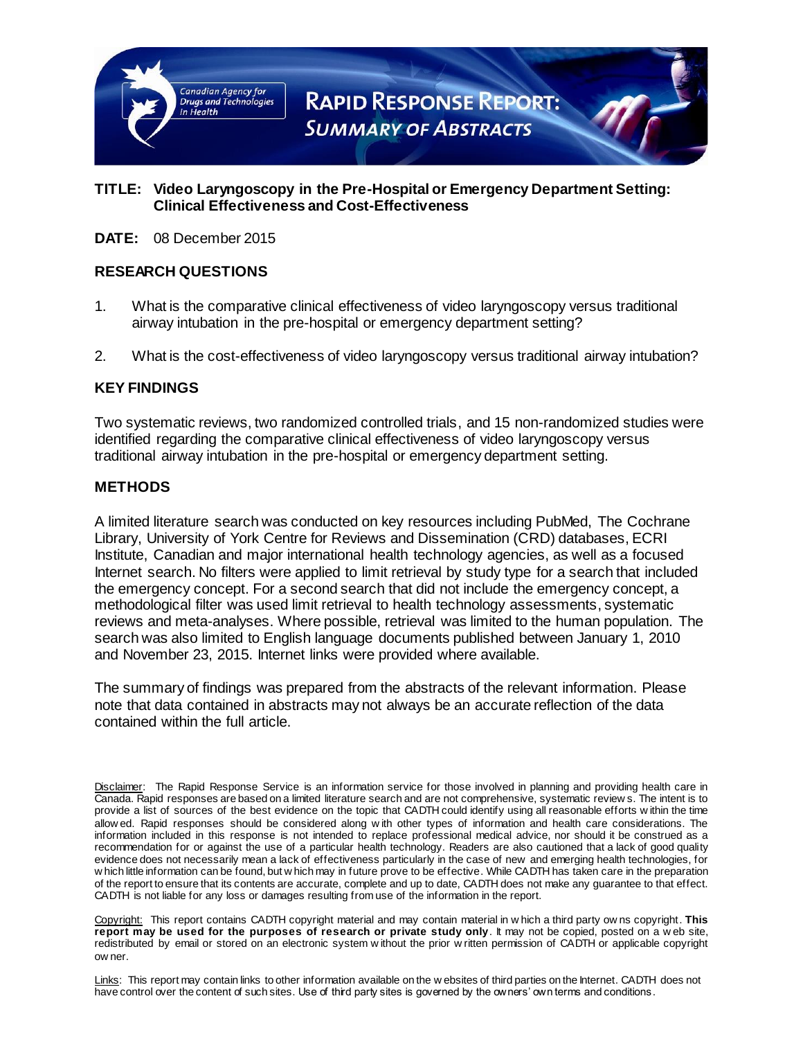

## **TITLE: Video Laryngoscopy in the Pre-Hospital or Emergency Department Setting: Clinical Effectiveness and Cost-Effectiveness**

**DATE:** 08 December 2015

## **RESEARCH QUESTIONS**

- 1. What is the comparative clinical effectiveness of video laryngoscopy versus traditional airway intubation in the pre-hospital or emergency department setting?
- 2. What is the cost-effectiveness of video laryngoscopy versus traditional airway intubation?

## **KEY FINDINGS**

Two systematic reviews, two randomized controlled trials, and 15 non-randomized studies were identified regarding the comparative clinical effectiveness of video laryngoscopy versus traditional airway intubation in the pre-hospital or emergency department setting.

#### **METHODS**

A limited literature search was conducted on key resources including PubMed, The Cochrane Library, University of York Centre for Reviews and Dissemination (CRD) databases, ECRI Institute, Canadian and major international health technology agencies, as well as a focused Internet search. No filters were applied to limit retrieval by study type for a search that included the emergency concept. For a second search that did not include the emergency concept, a methodological filter was used limit retrieval to health technology assessments, systematic reviews and meta-analyses. Where possible, retrieval was limited to the human population. The search was also limited to English language documents published between January 1, 2010 and November 23, 2015. Internet links were provided where available.

The summary of findings was prepared from the abstracts of the relevant information. Please note that data contained in abstracts may not always be an accurate reflection of the data contained within the full article.

Copyright: This report contains CADTH copyright material and may contain material in w hich a third party ow ns copyright. **This report may be used for the purposes of research or private study only**. It may not be copied, posted on a w eb site, redistributed by email or stored on an electronic system w ithout the prior w ritten permission of CADTH or applicable copyright ow ner.

Links: This report may contain links to other information available on the w ebsites of third parties on the Internet. CADTH does not have control over the content of such sites. Use of third party sites is governed by the owners' own terms and conditions.

Disclaimer: The Rapid Response Service is an information service for those involved in planning and providing health care in Canada. Rapid responses are based on a limited literature search and are not comprehensive, systematic review s. The intent is to provide a list of sources of the best evidence on the topic that CADTH could identify using all reasonable efforts w ithin the time allow ed. Rapid responses should be considered along w ith other types of information and health care considerations. The information included in this response is not intended to replace professional medical advice, nor should it be construed as a recommendation for or against the use of a particular health technology. Readers are also cautioned that a lack of good quality evidence does not necessarily mean a lack of effectiveness particularly in the case of new and emerging health technologies, for w hich little information can be found, but w hich may in future prove to be effective. While CADTH has taken care in the preparation of the report to ensure that its contents are accurate, complete and up to date, CADTH does not make any guarantee to that effect. CADTH is not liable for any loss or damages resulting from use of the information in the report.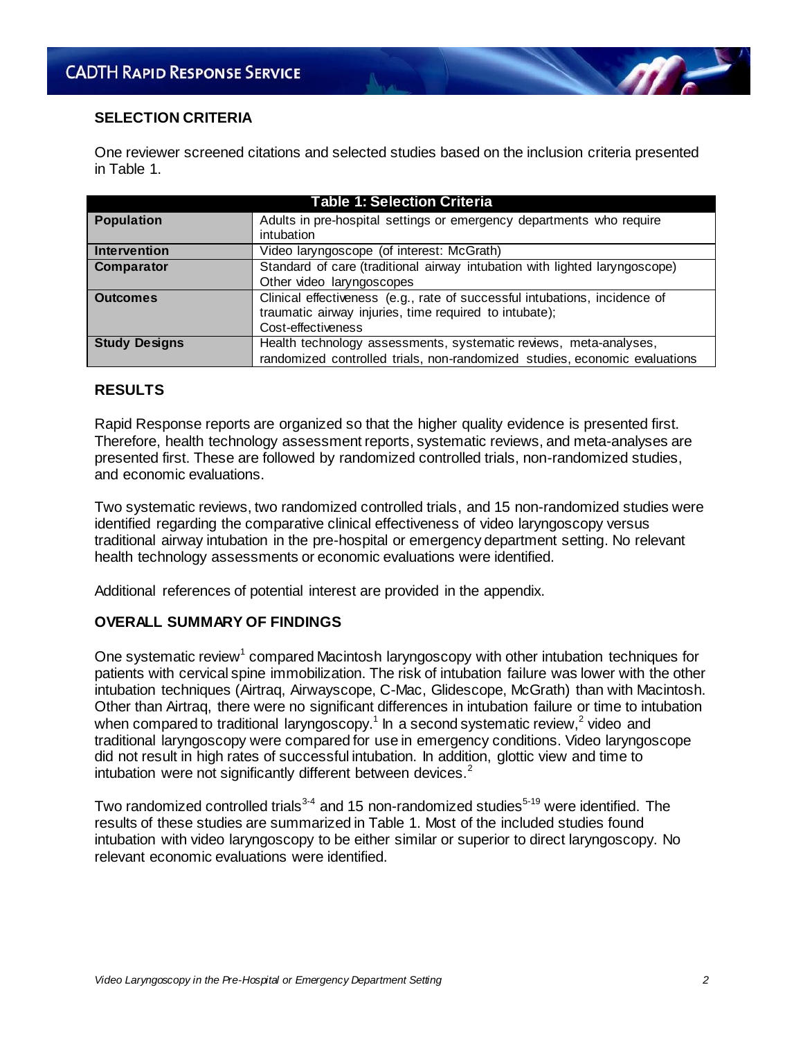#### **SELECTION CRITERIA**

One reviewer screened citations and selected studies based on the inclusion criteria presented in Table 1.

| <b>Table 1: Selection Criteria</b> |                                                                                                                                                            |  |  |
|------------------------------------|------------------------------------------------------------------------------------------------------------------------------------------------------------|--|--|
| <b>Population</b>                  | Adults in pre-hospital settings or emergency departments who require<br>intubation                                                                         |  |  |
| <b>Intervention</b>                | Video laryngoscope (of interest: McGrath)                                                                                                                  |  |  |
| Comparator                         | Standard of care (traditional airway intubation with lighted laryngoscope)<br>Other video laryngoscopes                                                    |  |  |
| <b>Outcomes</b>                    | Clinical effectiveness (e.g., rate of successful intubations, incidence of<br>traumatic airway injuries, time required to intubate);<br>Cost-effectiveness |  |  |
| <b>Study Designs</b>               | Health technology assessments, systematic reviews, meta-analyses,<br>randomized controlled trials, non-randomized studies, economic evaluations            |  |  |

## **RESULTS**

Rapid Response reports are organized so that the higher quality evidence is presented first. Therefore, health technology assessment reports, systematic reviews, and meta-analyses are presented first. These are followed by randomized controlled trials, non-randomized studies, and economic evaluations.

Two systematic reviews, two randomized controlled trials, and 15 non-randomized studies were identified regarding the comparative clinical effectiveness of video laryngoscopy versus traditional airway intubation in the pre-hospital or emergency department setting. No relevant health technology assessments or economic evaluations were identified.

Additional references of potential interest are provided in the appendix.

#### **OVERALL SUMMARY OF FINDINGS**

One systematic review<sup>1</sup> compared Macintosh laryngoscopy with other intubation techniques for patients with cervical spine immobilization. The risk of intubation failure was lower with the other intubation techniques (Airtraq, Airwayscope, C-Mac, Glidescope, McGrath) than with Macintosh. Other than Airtraq, there were no significant differences in intubation failure or time to intubation when compared to traditional laryngoscopy.<sup>1</sup> In a second systematic review,<sup>2</sup> video and traditional laryngoscopy were compared for use in emergency conditions. Video laryngoscope did not result in high rates of successful intubation. In addition, glottic view and time to intubation were not significantly different between devices. $2^2$ 

Two randomized controlled trials<sup>3-4</sup> and 15 non-randomized studies<sup>5-19</sup> were identified. The results of these studies are summarized in Table 1. Most of the included studies found intubation with video laryngoscopy to be either similar or superior to direct laryngoscopy. No relevant economic evaluations were identified.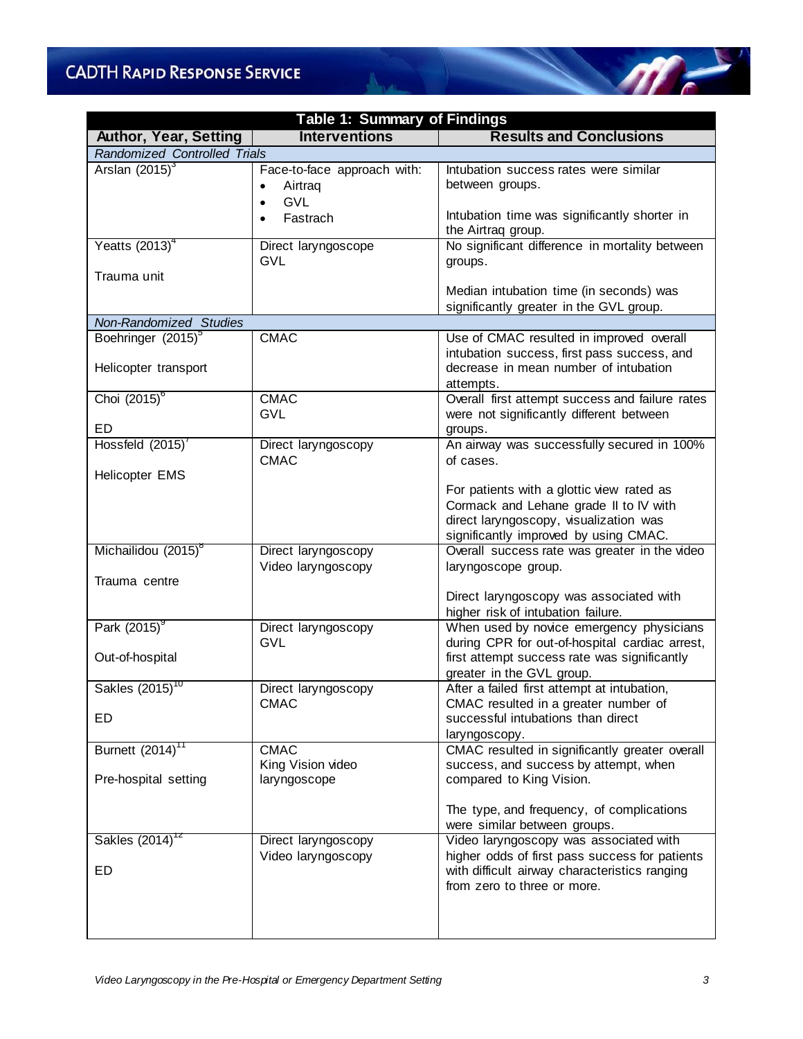# **CADTH RAPID RESPONSE SERVICE**

| <b>Table 1: Summary of Findings</b>                    |                                                                                                         |                                                                                                                                               |  |  |
|--------------------------------------------------------|---------------------------------------------------------------------------------------------------------|-----------------------------------------------------------------------------------------------------------------------------------------------|--|--|
| <b>Author, Year, Setting</b>                           | <b>Interventions</b>                                                                                    | <b>Results and Conclusions</b>                                                                                                                |  |  |
| Randomized Controlled Trials                           |                                                                                                         |                                                                                                                                               |  |  |
| Arslan $(2015)^3$                                      | Face-to-face approach with:<br>Airtraq<br>$\bullet$<br><b>GVL</b><br>$\bullet$<br>Fastrach<br>$\bullet$ | Intubation success rates were similar<br>between groups.<br>Intubation time was significantly shorter in<br>the Airtraq group.                |  |  |
| Yeatts $(2013)^4$                                      | Direct laryngoscope<br><b>GVL</b>                                                                       | No significant difference in mortality between<br>groups.                                                                                     |  |  |
| Trauma unit                                            |                                                                                                         | Median intubation time (in seconds) was<br>significantly greater in the GVL group.                                                            |  |  |
| Non-Randomized Studies                                 |                                                                                                         |                                                                                                                                               |  |  |
| Boehringer (2015) <sup>5</sup><br>Helicopter transport | <b>CMAC</b>                                                                                             | Use of CMAC resulted in improved overall<br>intubation success, first pass success, and<br>decrease in mean number of intubation<br>attempts. |  |  |
| Choi $(2015)^6$                                        | <b>CMAC</b><br><b>GVL</b>                                                                               | Overall first attempt success and failure rates<br>were not significantly different between                                                   |  |  |
| ED.<br>Hossfeld (2015)'                                |                                                                                                         | groups.<br>An airway was successfully secured in 100%                                                                                         |  |  |
| <b>Helicopter EMS</b>                                  | Direct laryngoscopy<br><b>CMAC</b>                                                                      | of cases.<br>For patients with a glottic view rated as                                                                                        |  |  |
|                                                        |                                                                                                         | Cormack and Lehane grade II to IV with<br>direct laryngoscopy, visualization was<br>significantly improved by using CMAC.                     |  |  |
| Michailidou (2015) <sup>8</sup>                        | Direct laryngoscopy<br>Video laryngoscopy                                                               | Overall success rate was greater in the video<br>laryngoscope group.                                                                          |  |  |
| Trauma centre                                          |                                                                                                         | Direct laryngoscopy was associated with<br>higher risk of intubation failure.                                                                 |  |  |
| Park (2015)                                            | Direct laryngoscopy<br><b>GVL</b>                                                                       | When used by novice emergency physicians<br>during CPR for out-of-hospital cardiac arrest,                                                    |  |  |
| Out-of-hospital                                        |                                                                                                         | first attempt success rate was significantly<br>greater in the GVL group.                                                                     |  |  |
| Sakles $(2015)^{10}$                                   | Direct laryngoscopy<br><b>CMAC</b>                                                                      | After a failed first attempt at intubation,<br>CMAC resulted in a greater number of                                                           |  |  |
| ED                                                     |                                                                                                         | successful intubations than direct<br>laryngoscopy.                                                                                           |  |  |
| Burnett (2014) <sup>11</sup>                           | <b>CMAC</b><br>King Vision video                                                                        | CMAC resulted in significantly greater overall<br>success, and success by attempt, when                                                       |  |  |
| Pre-hospital setting                                   | laryngoscope                                                                                            | compared to King Vision.                                                                                                                      |  |  |
|                                                        |                                                                                                         | The type, and frequency, of complications<br>were similar between groups.                                                                     |  |  |
| Sakles (2014) <sup>12</sup>                            | Direct laryngoscopy                                                                                     | Video laryngoscopy was associated with                                                                                                        |  |  |
| ED                                                     | Video laryngoscopy                                                                                      | higher odds of first pass success for patients<br>with difficult airway characteristics ranging<br>from zero to three or more.                |  |  |
|                                                        |                                                                                                         |                                                                                                                                               |  |  |

**Alberta** 

 $\sqrt{m}$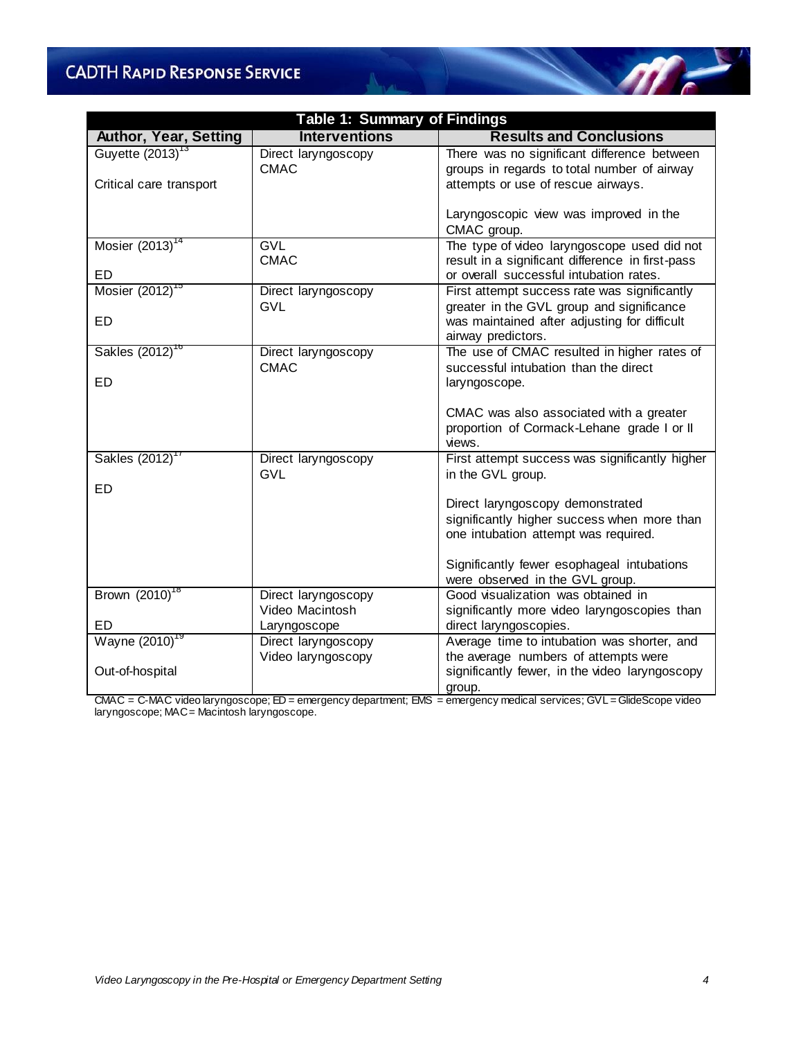## **CADTH RAPID RESPONSE SERVICE**

| Table 1: Summary of Findings |                                   |                                                                                                                 |  |  |
|------------------------------|-----------------------------------|-----------------------------------------------------------------------------------------------------------------|--|--|
| <b>Author, Year, Setting</b> | <b>Interventions</b>              | <b>Results and Conclusions</b>                                                                                  |  |  |
| Guyette $(2013)^{13}$        | Direct laryngoscopy               | There was no significant difference between                                                                     |  |  |
|                              | <b>CMAC</b>                       | groups in regards to total number of airway                                                                     |  |  |
| Critical care transport      |                                   | attempts or use of rescue airways.                                                                              |  |  |
|                              |                                   | Laryngoscopic view was improved in the<br>CMAC group.                                                           |  |  |
| Mosier $(2013)^{14}$         | <b>GVL</b>                        | The type of video laryngoscope used did not                                                                     |  |  |
|                              | <b>CMAC</b>                       | result in a significant difference in first-pass                                                                |  |  |
| <b>ED</b>                    |                                   | or overall successful intubation rates.                                                                         |  |  |
| Mosier (2012) <sup>15</sup>  | Direct laryngoscopy<br><b>GVL</b> | First attempt success rate was significantly                                                                    |  |  |
| ED.                          |                                   | greater in the GVL group and significance<br>was maintained after adjusting for difficult<br>airway predictors. |  |  |
| Sakles (2012) <sup>10</sup>  | Direct laryngoscopy               | The use of CMAC resulted in higher rates of                                                                     |  |  |
|                              | <b>CMAC</b>                       | successful intubation than the direct                                                                           |  |  |
| <b>ED</b>                    |                                   | laryngoscope.                                                                                                   |  |  |
|                              |                                   | CMAC was also associated with a greater<br>proportion of Cormack-Lehane grade I or II<br>views.                 |  |  |
| Sakles (2012) <sup>1</sup>   | Direct laryngoscopy<br><b>GVL</b> | First attempt success was significantly higher<br>in the GVL group.                                             |  |  |
| <b>ED</b>                    |                                   |                                                                                                                 |  |  |
|                              |                                   | Direct laryngoscopy demonstrated                                                                                |  |  |
|                              |                                   | significantly higher success when more than                                                                     |  |  |
|                              |                                   | one intubation attempt was required.                                                                            |  |  |
|                              |                                   | Significantly fewer esophageal intubations<br>were observed in the GVL group.                                   |  |  |
| Brown (2010) <sup>18</sup>   | Direct laryngoscopy               | Good visualization was obtained in                                                                              |  |  |
|                              | Video Macintosh                   | significantly more video laryngoscopies than                                                                    |  |  |
| <b>ED</b>                    | Laryngoscope                      | direct laryngoscopies.                                                                                          |  |  |
| Wayne (2010) <sup>19</sup>   | Direct laryngoscopy               | Average time to intubation was shorter, and                                                                     |  |  |
| Out-of-hospital              | Video laryngoscopy                | the average numbers of attempts were<br>significantly fewer, in the video laryngoscopy<br>group.                |  |  |

CMAC = C-MAC video laryngoscope; ED = emergency department; EMS = emergency medical services; GVL = GlideScope video laryngoscope; MAC = Macintosh laryngoscope.

 $\mathscr{M}$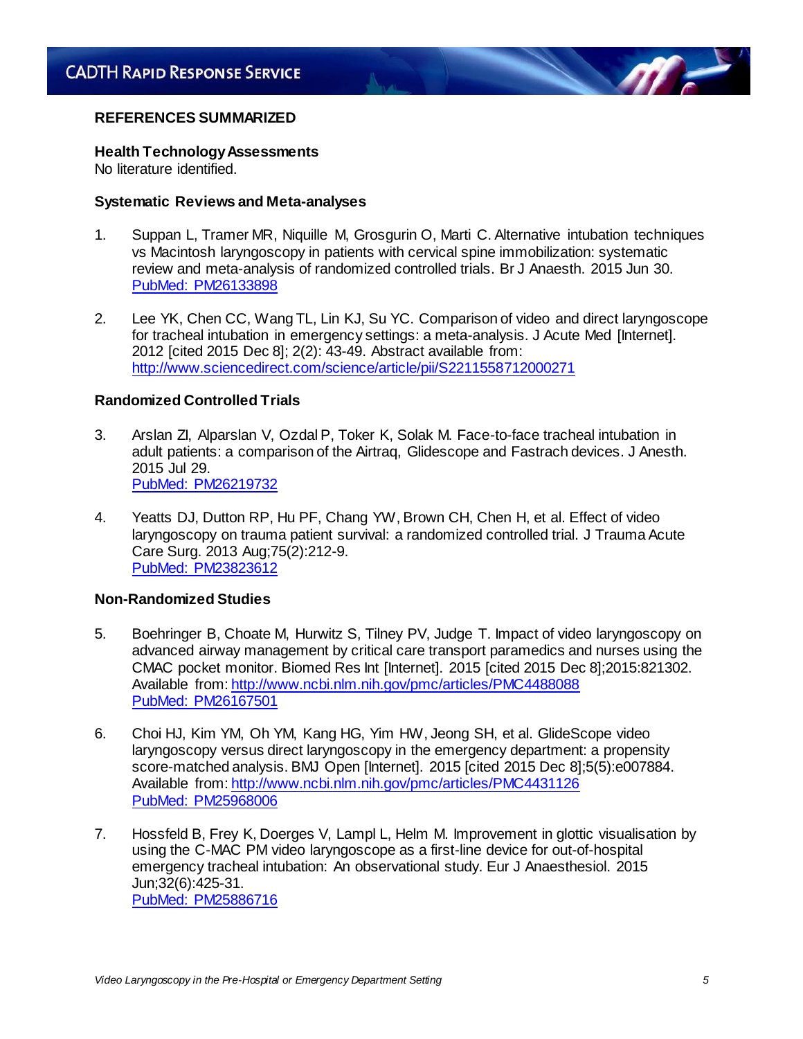#### **REFERENCES SUMMARIZED**

#### **Health Technology Assessments**

No literature identified.

#### **Systematic Reviews and Meta-analyses**

- 1. Suppan L, Tramer MR, Niquille M, Grosgurin O, Marti C. Alternative intubation techniques vs Macintosh laryngoscopy in patients with cervical spine immobilization: systematic review and meta-analysis of randomized controlled trials. Br J Anaesth. 2015 Jun 30. [PubMed: PM26133898](http://www.ncbi.nlm.nih.gov/entrez/query.fcgi?cmd=retrieve&db=pubmed&list_uids=26133898&dopt=abstract)
- 2. Lee YK, Chen CC, Wang TL, Lin KJ, Su YC. Comparison of video and direct laryngoscope for tracheal intubation in emergency settings: a meta-analysis. J Acute Med [Internet]. 2012 [cited 2015 Dec 8]; 2(2): 43-49. Abstract available from: <http://www.sciencedirect.com/science/article/pii/S2211558712000271>

## **Randomized Controlled Trials**

- 3. Arslan ZI, Alparslan V, Ozdal P, Toker K, Solak M. Face-to-face tracheal intubation in adult patients: a comparison of the Airtraq, Glidescope and Fastrach devices. J Anesth. 2015 Jul 29. [PubMed: PM26219732](http://www.ncbi.nlm.nih.gov/entrez/query.fcgi?cmd=retrieve&db=pubmed&list_uids=26219732&dopt=abstract)
- 4. Yeatts DJ, Dutton RP, Hu PF, Chang YW, Brown CH, Chen H, et al. Effect of video laryngoscopy on trauma patient survival: a randomized controlled trial. J Trauma Acute Care Surg. 2013 Aug;75(2):212-9. [PubMed: PM23823612](http://www.ncbi.nlm.nih.gov/entrez/query.fcgi?cmd=retrieve&db=pubmed&list_uids=23823612&dopt=abstract)

#### **Non-Randomized Studies**

- 5. Boehringer B, Choate M, Hurwitz S, Tilney PV, Judge T. Impact of video laryngoscopy on advanced airway management by critical care transport paramedics and nurses using the CMAC pocket monitor. Biomed Res Int [Internet]. 2015 [cited 2015 Dec 8];2015:821302. Available from[: http://www.ncbi.nlm.nih.gov/pmc/articles/PMC4488088](http://www.ncbi.nlm.nih.gov/pmc/articles/PMC4488088) [PubMed: PM26167501](http://www.ncbi.nlm.nih.gov/entrez/query.fcgi?cmd=retrieve&db=pubmed&list_uids=26167501&dopt=abstract)
- 6. Choi HJ, Kim YM, Oh YM, Kang HG, Yim HW, Jeong SH, et al. GlideScope video laryngoscopy versus direct laryngoscopy in the emergency department: a propensity score-matched analysis. BMJ Open [Internet]. 2015 [cited 2015 Dec 8];5(5):e007884. Available from[: http://www.ncbi.nlm.nih.gov/pmc/articles/PMC4431126](http://www.ncbi.nlm.nih.gov/pmc/articles/PMC4431126) [PubMed: PM25968006](http://www.ncbi.nlm.nih.gov/entrez/query.fcgi?cmd=retrieve&db=pubmed&list_uids=25968006&dopt=abstract)
- 7. Hossfeld B, Frey K, Doerges V, Lampl L, Helm M. Improvement in glottic visualisation by using the C-MAC PM video laryngoscope as a first-line device for out-of-hospital emergency tracheal intubation: An observational study. Eur J Anaesthesiol. 2015 Jun;32(6):425-31. [PubMed: PM25886716](http://www.ncbi.nlm.nih.gov/entrez/query.fcgi?cmd=retrieve&db=pubmed&list_uids=25886716&dopt=abstract)

 $\eta$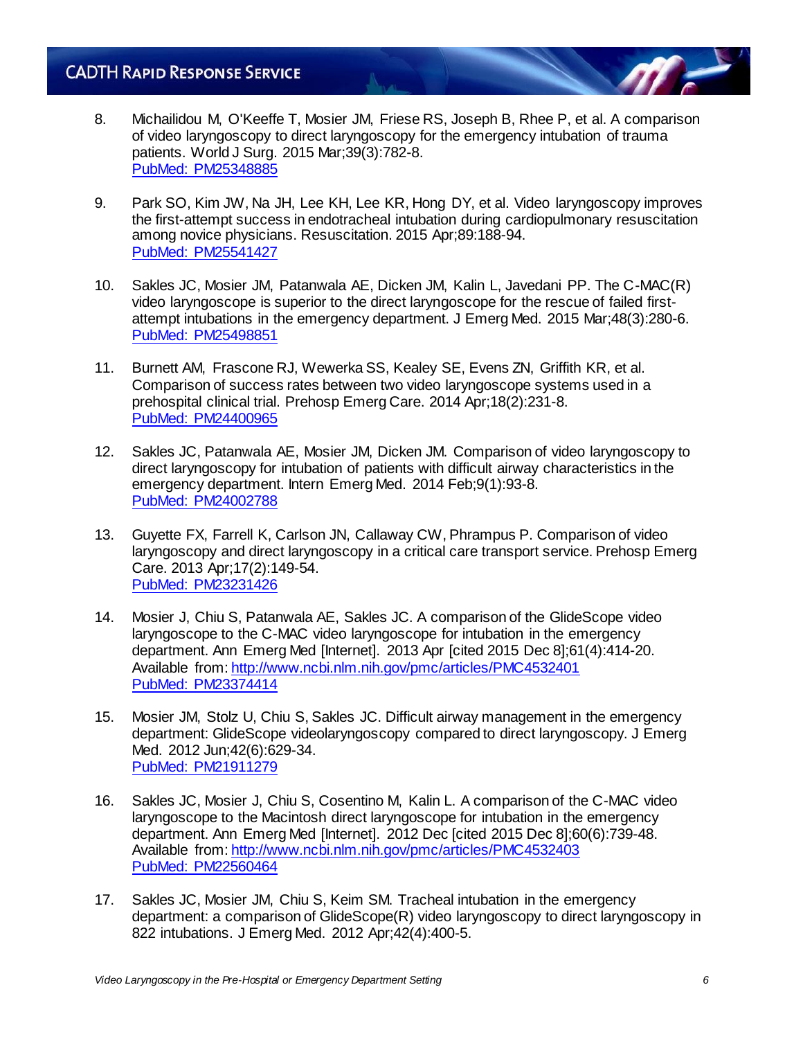- 8. Michailidou M, O'Keeffe T, Mosier JM, Friese RS, Joseph B, Rhee P, et al. A comparison of video laryngoscopy to direct laryngoscopy for the emergency intubation of trauma patients. World J Surg. 2015 Mar;39(3):782-8. [PubMed: PM25348885](http://www.ncbi.nlm.nih.gov/entrez/query.fcgi?cmd=retrieve&db=pubmed&list_uids=25348885&dopt=abstract)
- 9. Park SO, Kim JW, Na JH, Lee KH, Lee KR, Hong DY, et al. Video laryngoscopy improves the first-attempt success in endotracheal intubation during cardiopulmonary resuscitation among novice physicians. Resuscitation. 2015 Apr;89:188-94. [PubMed: PM25541427](http://www.ncbi.nlm.nih.gov/entrez/query.fcgi?cmd=retrieve&db=pubmed&list_uids=25541427&dopt=abstract)
- 10. Sakles JC, Mosier JM, Patanwala AE, Dicken JM, Kalin L, Javedani PP. The C-MAC(R) video laryngoscope is superior to the direct laryngoscope for the rescue of failed firstattempt intubations in the emergency department. J Emerg Med. 2015 Mar;48(3):280-6. [PubMed: PM25498851](http://www.ncbi.nlm.nih.gov/entrez/query.fcgi?cmd=retrieve&db=pubmed&list_uids=25498851&dopt=abstract)
- 11. Burnett AM, Frascone RJ, Wewerka SS, Kealey SE, Evens ZN, Griffith KR, et al. Comparison of success rates between two video laryngoscope systems used in a prehospital clinical trial. Prehosp Emerg Care. 2014 Apr;18(2):231-8. [PubMed: PM24400965](http://www.ncbi.nlm.nih.gov/entrez/query.fcgi?cmd=retrieve&db=pubmed&list_uids=24400965&dopt=abstract)
- 12. Sakles JC, Patanwala AE, Mosier JM, Dicken JM. Comparison of video laryngoscopy to direct laryngoscopy for intubation of patients with difficult airway characteristics in the emergency department. Intern Emerg Med. 2014 Feb;9(1):93-8. [PubMed: PM24002788](http://www.ncbi.nlm.nih.gov/entrez/query.fcgi?cmd=retrieve&db=pubmed&list_uids=24002788&dopt=abstract)
- 13. Guyette FX, Farrell K, Carlson JN, Callaway CW, Phrampus P. Comparison of video laryngoscopy and direct laryngoscopy in a critical care transport service. Prehosp Emerg Care. 2013 Apr;17(2):149-54. [PubMed: PM23231426](http://www.ncbi.nlm.nih.gov/entrez/query.fcgi?cmd=retrieve&db=pubmed&list_uids=23231426&dopt=abstract)
- 14. Mosier J, Chiu S, Patanwala AE, Sakles JC. A comparison of the GlideScope video laryngoscope to the C-MAC video laryngoscope for intubation in the emergency department. Ann Emerg Med [Internet]. 2013 Apr [cited 2015 Dec 8];61(4):414-20. Available from[: http://www.ncbi.nlm.nih.gov/pmc/articles/PMC4532401](http://www.ncbi.nlm.nih.gov/pmc/articles/PMC4532401) [PubMed: PM23374414](http://www.ncbi.nlm.nih.gov/entrez/query.fcgi?cmd=retrieve&db=pubmed&list_uids=23374414&dopt=abstract)
- 15. Mosier JM, Stolz U, Chiu S, Sakles JC. Difficult airway management in the emergency department: GlideScope videolaryngoscopy compared to direct laryngoscopy. J Emerg Med. 2012 Jun;42(6):629-34. [PubMed: PM21911279](http://www.ncbi.nlm.nih.gov/entrez/query.fcgi?cmd=retrieve&db=pubmed&list_uids=21911279&dopt=abstract)
- 16. Sakles JC, Mosier J, Chiu S, Cosentino M, Kalin L. A comparison of the C-MAC video laryngoscope to the Macintosh direct laryngoscope for intubation in the emergency department. Ann Emerg Med [Internet]. 2012 Dec [cited 2015 Dec 8];60(6):739-48. Available from[: http://www.ncbi.nlm.nih.gov/pmc/articles/PMC4532403](http://www.ncbi.nlm.nih.gov/pmc/articles/PMC4532403) [PubMed: PM22560464](http://www.ncbi.nlm.nih.gov/entrez/query.fcgi?cmd=retrieve&db=pubmed&list_uids=22560464&dopt=abstract)
- 17. Sakles JC, Mosier JM, Chiu S, Keim SM. Tracheal intubation in the emergency department: a comparison of GlideScope(R) video laryngoscopy to direct laryngoscopy in 822 intubations. J Emerg Med. 2012 Apr;42(4):400-5.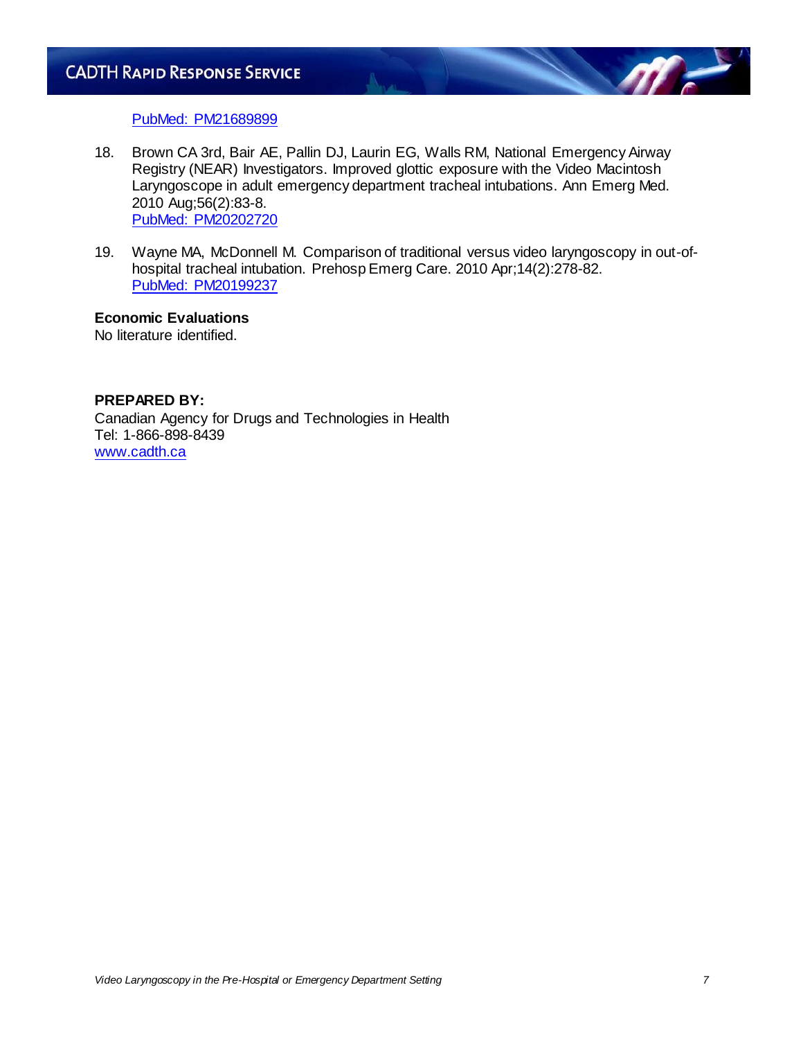

#### [PubMed: PM21689899](http://www.ncbi.nlm.nih.gov/entrez/query.fcgi?cmd=retrieve&db=pubmed&list_uids=21689899&dopt=abstract)

- 18. Brown CA 3rd, Bair AE, Pallin DJ, Laurin EG, Walls RM, National Emergency Airway Registry (NEAR) Investigators. Improved glottic exposure with the Video Macintosh Laryngoscope in adult emergency department tracheal intubations. Ann Emerg Med. 2010 Aug;56(2):83-8. [PubMed: PM20202720](http://www.ncbi.nlm.nih.gov/entrez/query.fcgi?cmd=retrieve&db=pubmed&list_uids=20202720&dopt=abstract)
- 19. Wayne MA, McDonnell M. Comparison of traditional versus video laryngoscopy in out-ofhospital tracheal intubation. Prehosp Emerg Care. 2010 Apr;14(2):278-82. [PubMed: PM20199237](http://www.ncbi.nlm.nih.gov/entrez/query.fcgi?cmd=retrieve&db=pubmed&list_uids=20199237&dopt=abstract)

## **Economic Evaluations**

No literature identified.

## **PREPARED BY:**

Canadian Agency for Drugs and Technologies in Health Tel: 1-866-898-8439 [www.cadth.ca](http://www.cadth.ca/)